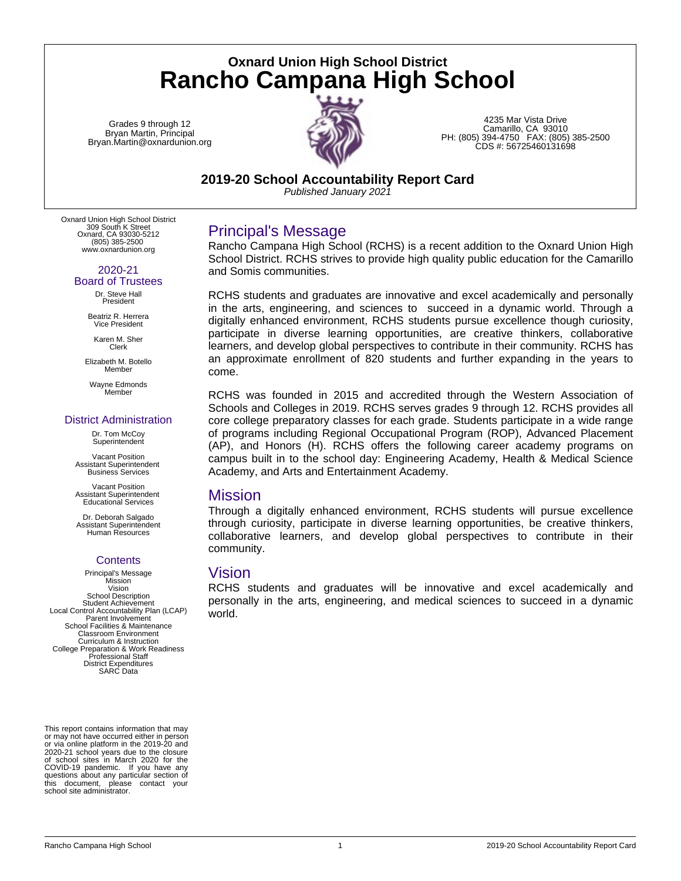**Oxnard Union High School District Rancho Campana High School**

Grades 9 through 12 Bryan Martin, Principal Bryan.Martin@oxnardunion.org



4235 Mar Vista Drive Camarillo, CA 93010 PH: (805) 394-4750 FAX: (805) 385-2500 CDS #: 56725460131698

**2019-20 School Accountability Report Card**

*Published January 2021*

Oxnard Union High School District 309 South K Street Oxnard, CA 93030-5212 (805) 385-2500 www.oxnardunion.org

#### 2020-21 Board of Trustees

Dr. Steve Hall President

Beatriz R. Herrera Vice President

Karen M. Sher Clerk

Elizabeth M. Botello Member

Wayne Edmonds Member

### District Administration

Dr. Tom McCoy **Superintendent** 

Vacant Position Assistant Superintendent Business Services

Vacant Position Assistant Superintendent Educational Services

Dr. Deborah Salgado Assistant Superintendent Human Resources

### **Contents**

Principal's Message Mission Vision School Description Student Achievement Local Control Accountability Plan (LCAP) Parent Involvement School Facilities & Maintenance Classroom Environment Curriculum & Instruction College Preparation & Work Readiness Professional Staff District Expenditures SARC Data

This report contains information that may or may not have occurred either in person or via online platform in the 2019-20 and 2020-21 school years due to the closure of school sites in March 2020 for the COVID-19 pandemic. If you have any questions about any particular section of this document, please contact your school site administrator.

# Principal's Message

Rancho Campana High School (RCHS) is a recent addition to the Oxnard Union High School District. RCHS strives to provide high quality public education for the Camarillo and Somis communities.

RCHS students and graduates are innovative and excel academically and personally in the arts, engineering, and sciences to succeed in a dynamic world. Through a digitally enhanced environment, RCHS students pursue excellence though curiosity, participate in diverse learning opportunities, are creative thinkers, collaborative learners, and develop global perspectives to contribute in their community. RCHS has an approximate enrollment of 820 students and further expanding in the years to come.

RCHS was founded in 2015 and accredited through the Western Association of Schools and Colleges in 2019. RCHS serves grades 9 through 12. RCHS provides all core college preparatory classes for each grade. Students participate in a wide range of programs including Regional Occupational Program (ROP), Advanced Placement (AP), and Honors (H). RCHS offers the following career academy programs on campus built in to the school day: Engineering Academy, Health & Medical Science Academy, and Arts and Entertainment Academy.

### Mission

Through a digitally enhanced environment, RCHS students will pursue excellence through curiosity, participate in diverse learning opportunities, be creative thinkers, collaborative learners, and develop global perspectives to contribute in their community.

### Vision

RCHS students and graduates will be innovative and excel academically and personally in the arts, engineering, and medical sciences to succeed in a dynamic world.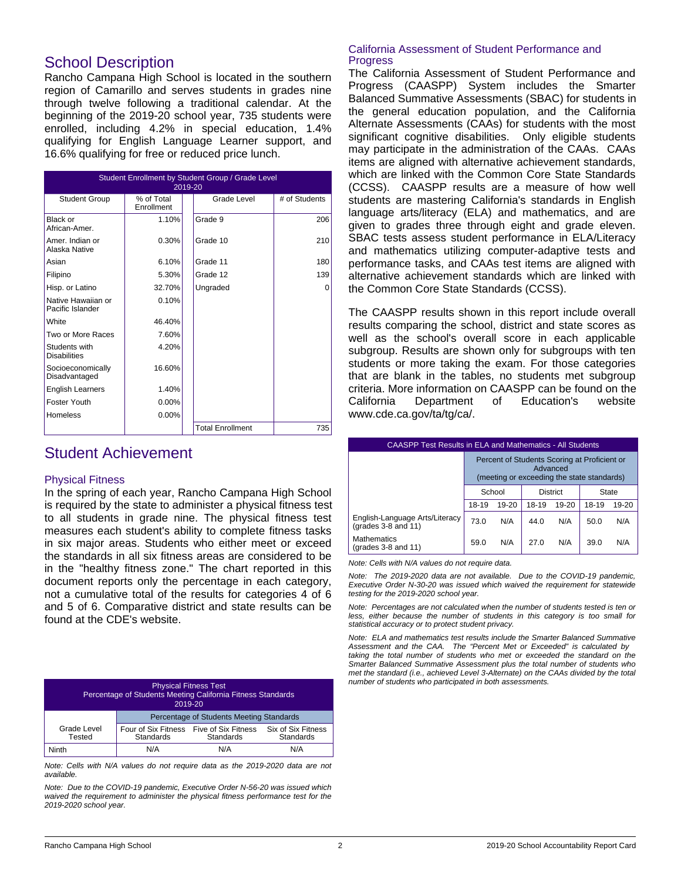## School Description

Rancho Campana High School is located in the southern region of Camarillo and serves students in grades nine through twelve following a traditional calendar. At the beginning of the 2019-20 school year, 735 students were enrolled, including 4.2% in special education, 1.4% qualifying for English Language Learner support, and 16.6% qualifying for free or reduced price lunch.

| <b>Student Enrollment by Student Group / Grade Level</b><br>2019-20 |                          |                         |               |  |  |
|---------------------------------------------------------------------|--------------------------|-------------------------|---------------|--|--|
| <b>Student Group</b>                                                | % of Total<br>Enrollment | Grade Level             | # of Students |  |  |
| Black or<br>African-Amer.                                           | 1.10%                    | Grade 9                 | 206           |  |  |
| Amer. Indian or<br>Alaska Native                                    | 0.30%                    | Grade 10                | 210           |  |  |
| Asian                                                               | 6.10%                    | Grade 11                | 180           |  |  |
| Filipino                                                            | 5.30%                    | Grade 12                | 139           |  |  |
| Hisp. or Latino                                                     | 32.70%                   | Ungraded                | 0             |  |  |
| Native Hawaiian or<br>Pacific Islander                              | 0.10%                    |                         |               |  |  |
| White                                                               | 46.40%                   |                         |               |  |  |
| Two or More Races                                                   | 7.60%                    |                         |               |  |  |
| Students with<br><b>Disabilities</b>                                | 4.20%                    |                         |               |  |  |
| Socioeconomically<br>Disadvantaged                                  | 16.60%                   |                         |               |  |  |
| <b>English Learners</b>                                             | 1.40%                    |                         |               |  |  |
| Foster Youth                                                        | $0.00\%$                 |                         |               |  |  |
| Homeless                                                            | $0.00\%$                 |                         |               |  |  |
|                                                                     |                          | <b>Total Enrollment</b> | 735           |  |  |

## Student Achievement

### Physical Fitness

In the spring of each year, Rancho Campana High School is required by the state to administer a physical fitness test to all students in grade nine. The physical fitness test measures each student's ability to complete fitness tasks in six major areas. Students who either meet or exceed the standards in all six fitness areas are considered to be in the "healthy fitness zone." The chart reported in this document reports only the percentage in each category, not a cumulative total of the results for categories 4 of 6 and 5 of 6. Comparative district and state results can be found at the CDE's website.

| <b>Physical Fitness Test</b><br>Percentage of Students Meeting California Fitness Standards<br>2019-20                               |                                          |     |     |  |
|--------------------------------------------------------------------------------------------------------------------------------------|------------------------------------------|-----|-----|--|
|                                                                                                                                      | Percentage of Students Meeting Standards |     |     |  |
| Grade Level<br>Six of Six Fitness<br>Four of Six Fitness Five of Six Fitness<br><b>Standards</b><br>Standards<br>Tested<br>Standards |                                          |     |     |  |
| Ninth                                                                                                                                | N/A                                      | N/A | N/A |  |

*Note: Cells with N/A values do not require data as the 2019-2020 data are not available.*

*Note: Due to the COVID-19 pandemic, Executive Order N-56-20 was issued which waived the requirement to administer the physical fitness performance test for the 2019-2020 school year.*

### California Assessment of Student Performance and Progress

The California Assessment of Student Performance and Progress (CAASPP) System includes the Smarter Balanced Summative Assessments (SBAC) for students in the general education population, and the California Alternate Assessments (CAAs) for students with the most significant cognitive disabilities. Only eligible students may participate in the administration of the CAAs. CAAs items are aligned with alternative achievement standards, which are linked with the Common Core State Standards (CCSS). CAASPP results are a measure of how well students are mastering California's standards in English language arts/literacy (ELA) and mathematics, and are given to grades three through eight and grade eleven. SBAC tests assess student performance in ELA/Literacy and mathematics utilizing computer-adaptive tests and performance tasks, and CAAs test items are aligned with alternative achievement standards which are linked with the Common Core State Standards (CCSS).

The CAASPP results shown in this report include overall results comparing the school, district and state scores as well as the school's overall score in each applicable subgroup. Results are shown only for subgroups with ten students or more taking the exam. For those categories that are blank in the tables, no students met subgroup criteria. More information on CAASPP can be found on the California Department of Education's website www.cde.ca.gov/ta/tg/ca/.

| <b>CAASPP Test Results in ELA and Mathematics - All Students</b> |                                                                                                        |           |       |           |       |           |
|------------------------------------------------------------------|--------------------------------------------------------------------------------------------------------|-----------|-------|-----------|-------|-----------|
|                                                                  | Percent of Students Scoring at Proficient or<br>Advanced<br>(meeting or exceeding the state standards) |           |       |           |       |           |
|                                                                  | School<br><b>District</b><br><b>State</b>                                                              |           |       |           |       |           |
|                                                                  | 18-19                                                                                                  | $19 - 20$ | 18-19 | $19 - 20$ | 18-19 | $19 - 20$ |
| English-Language Arts/Literacy<br>(grades $3-8$ and $11$ )       | 73.0                                                                                                   | N/A       | 44.0  | N/A       | 50.0  | N/A       |
| <b>Mathematics</b><br>(grades $3-8$ and $11$ )                   | 59.0                                                                                                   | N/A       | 27.0  | N/A       | 39.0  | N/A       |

*Note: Cells with N/A values do not require data.*

*Note: The 2019-2020 data are not available. Due to the COVID-19 pandemic, Executive Order N-30-20 was issued which waived the requirement for statewide testing for the 2019-2020 school year.*

*Note: Percentages are not calculated when the number of students tested is ten or less, either because the number of students in this category is too small for statistical accuracy or to protect student privacy.*

*Note: ELA and mathematics test results include the Smarter Balanced Summative Assessment and the CAA. The "Percent Met or Exceeded" is calculated by taking the total number of students who met or exceeded the standard on the Smarter Balanced Summative Assessment plus the total number of students who met the standard (i.e., achieved Level 3-Alternate) on the CAAs divided by the total number of students who participated in both assessments.*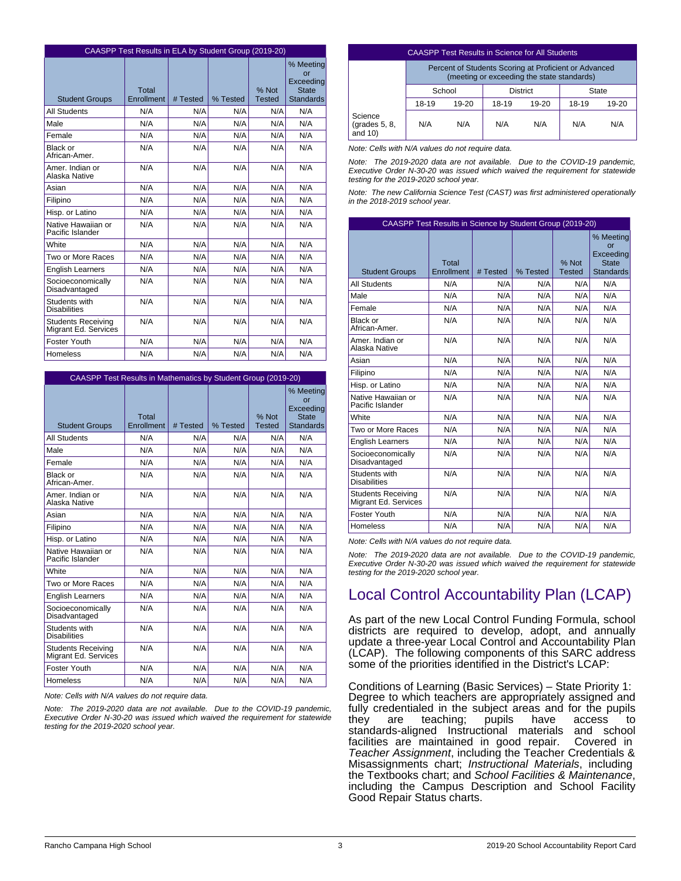|                                                   |                     | CAASPP Test Results in ELA by Student Group (2019-20) |          |                        |                                                                  |  |  |  |
|---------------------------------------------------|---------------------|-------------------------------------------------------|----------|------------------------|------------------------------------------------------------------|--|--|--|
| <b>Student Groups</b>                             | Total<br>Enrollment | # Tested                                              | % Tested | % Not<br><b>Tested</b> | % Meeting<br>or<br>Exceeding<br><b>State</b><br><b>Standards</b> |  |  |  |
| <b>All Students</b>                               | N/A                 | N/A                                                   | N/A      | N/A                    | N/A                                                              |  |  |  |
| Male                                              | N/A                 | N/A                                                   | N/A      | N/A                    | N/A                                                              |  |  |  |
| Female                                            | N/A                 | N/A                                                   | N/A      | N/A                    | N/A                                                              |  |  |  |
| Black or<br>African-Amer.                         | N/A                 | N/A                                                   | N/A      | N/A                    | N/A                                                              |  |  |  |
| Amer, Indian or<br>Alaska Native                  | N/A                 | N/A                                                   | N/A      | N/A                    | N/A                                                              |  |  |  |
| Asian                                             | N/A                 | N/A                                                   | N/A      | N/A                    | N/A                                                              |  |  |  |
| Filipino                                          | N/A                 | N/A                                                   | N/A      | N/A                    | N/A                                                              |  |  |  |
| Hisp. or Latino                                   | N/A                 | N/A                                                   | N/A      | N/A                    | N/A                                                              |  |  |  |
| Native Hawaiian or<br>Pacific Islander            | N/A                 | N/A                                                   | N/A      | N/A                    | N/A                                                              |  |  |  |
| White                                             | N/A                 | N/A                                                   | N/A      | N/A                    | N/A                                                              |  |  |  |
| Two or More Races                                 | N/A                 | N/A                                                   | N/A      | N/A                    | N/A                                                              |  |  |  |
| <b>English Learners</b>                           | N/A                 | N/A                                                   | N/A      | N/A                    | N/A                                                              |  |  |  |
| Socioeconomically<br>Disadvantaged                | N/A                 | N/A                                                   | N/A      | N/A                    | N/A                                                              |  |  |  |
| Students with<br><b>Disabilities</b>              | N/A                 | N/A                                                   | N/A      | N/A                    | N/A                                                              |  |  |  |
| <b>Students Receiving</b><br>Migrant Ed. Services | N/A                 | N/A                                                   | N/A      | N/A                    | N/A                                                              |  |  |  |
| Foster Youth                                      | N/A                 | N/A                                                   | N/A      | N/A                    | N/A                                                              |  |  |  |
| Homeless                                          | N/A                 | N/A                                                   | N/A      | N/A                    | N/A                                                              |  |  |  |

| CAASPP Test Results in Mathematics by Student Group (2019-20)                                                            |     |     |     |     |     |  |
|--------------------------------------------------------------------------------------------------------------------------|-----|-----|-----|-----|-----|--|
| % Meeting<br>Exceeding<br>% Not<br>Total<br>Enrollment<br># Tested<br>% Tested<br><b>Tested</b><br><b>Student Groups</b> |     |     |     |     |     |  |
| <b>All Students</b>                                                                                                      | N/A | N/A | N/A | N/A | N/A |  |
| Male                                                                                                                     | N/A | N/A | N/A | N/A | N/A |  |
| Female                                                                                                                   | N/A | N/A | N/A | N/A | N/A |  |
| Black or<br>African-Amer.                                                                                                | N/A | N/A | N/A | N/A | N/A |  |
| Amer, Indian or<br>Alaska Native                                                                                         | N/A | N/A | N/A | N/A | N/A |  |
| Asian                                                                                                                    | N/A | N/A | N/A | N/A | N/A |  |
| Filipino                                                                                                                 | N/A | N/A | N/A | N/A | N/A |  |
| Hisp. or Latino                                                                                                          | N/A | N/A | N/A | N/A | N/A |  |
| Native Hawaiian or<br>Pacific Islander                                                                                   | N/A | N/A | N/A | N/A | N/A |  |
| White                                                                                                                    | N/A | N/A | N/A | N/A | N/A |  |
| Two or More Races                                                                                                        | N/A | N/A | N/A | N/A | N/A |  |
| <b>English Learners</b>                                                                                                  | N/A | N/A | N/A | N/A | N/A |  |
| Socioeconomically<br>Disadvantaged                                                                                       | N/A | N/A | N/A | N/A | N/A |  |
| Students with<br><b>Disabilities</b>                                                                                     | N/A | N/A | N/A | N/A | N/A |  |
| <b>Students Receiving</b><br>Migrant Ed. Services                                                                        | N/A | N/A | N/A | N/A | N/A |  |
| Foster Youth                                                                                                             | N/A | N/A | N/A | N/A | N/A |  |
| Homeless                                                                                                                 | N/A | N/A | N/A | N/A | N/A |  |

*Note: Cells with N/A values do not require data.*

*Note: The 2019-2020 data are not available. Due to the COVID-19 pandemic, Executive Order N-30-20 was issued which waived the requirement for statewide testing for the 2019-2020 school year.*

| <b>CAASPP Test Results in Science for All Students</b> |                                                                                                     |       |       |       |       |       |
|--------------------------------------------------------|-----------------------------------------------------------------------------------------------------|-------|-------|-------|-------|-------|
|                                                        | Percent of Students Scoring at Proficient or Advanced<br>(meeting or exceeding the state standards) |       |       |       |       |       |
|                                                        | School<br><b>District</b><br><b>State</b>                                                           |       |       |       |       |       |
|                                                        | 18-19                                                                                               | 19-20 | 18-19 | 19-20 | 18-19 | 19-20 |
| ience<br>ades 5, 8,<br>d(10)                           | N/A                                                                                                 | N/A   | N/A   | N/A   | N/A   | N/A   |

*Note: Cells with N/A values do not require data.*

Sc (gr an

*Note: The 2019-2020 data are not available. Due to the COVID-19 pandemic, Executive Order N-30-20 was issued which waived the requirement for statewide testing for the 2019-2020 school year.*

*Note: The new California Science Test (CAST) was first administered operationally in the 2018-2019 school year.*

| CAASPP Test Results in Science by Student Group (2019-20) |                     |          |          |                        |                                                                                 |
|-----------------------------------------------------------|---------------------|----------|----------|------------------------|---------------------------------------------------------------------------------|
| <b>Student Groups</b>                                     | Total<br>Enrollment | # Tested | % Tested | % Not<br><b>Tested</b> | % Meeting<br>$\alpha$ r<br><b>Exceeding</b><br><b>State</b><br><b>Standards</b> |
| <b>All Students</b>                                       | N/A                 | N/A      | N/A      | N/A                    | N/A                                                                             |
| Male                                                      | N/A                 | N/A      | N/A      | N/A                    | N/A                                                                             |
| Female                                                    | N/A                 | N/A      | N/A      | N/A                    | N/A                                                                             |
| Black or<br>African-Amer.                                 | N/A                 | N/A      | N/A      | N/A                    | N/A                                                                             |
| Amer. Indian or<br>Alaska Native                          | N/A                 | N/A      | N/A      | N/A                    | N/A                                                                             |
| Asian                                                     | N/A                 | N/A      | N/A      | N/A                    | N/A                                                                             |
| Filipino                                                  | N/A                 | N/A      | N/A      | N/A                    | N/A                                                                             |
| Hisp. or Latino                                           | N/A                 | N/A      | N/A      | N/A                    | N/A                                                                             |
| Native Hawaiian or<br>Pacific Islander                    | N/A                 | N/A      | N/A      | N/A                    | N/A                                                                             |
| White                                                     | N/A                 | N/A      | N/A      | N/A                    | N/A                                                                             |
| Two or More Races                                         | N/A                 | N/A      | N/A      | N/A                    | N/A                                                                             |
| <b>English Learners</b>                                   | N/A                 | N/A      | N/A      | N/A                    | N/A                                                                             |
| Socioeconomically<br>Disadvantaged                        | N/A                 | N/A      | N/A      | N/A                    | N/A                                                                             |
| Students with<br><b>Disabilities</b>                      | N/A                 | N/A      | N/A      | N/A                    | N/A                                                                             |
| <b>Students Receiving</b><br>Migrant Ed. Services         | N/A                 | N/A      | N/A      | N/A                    | N/A                                                                             |
| Foster Youth                                              | N/A                 | N/A      | N/A      | N/A                    | N/A                                                                             |
| <b>Homeless</b>                                           | N/A                 | N/A      | N/A      | N/A                    | N/A                                                                             |

*Note: Cells with N/A values do not require data.*

*Note: The 2019-2020 data are not available. Due to the COVID-19 pandemic, Executive Order N-30-20 was issued which waived the requirement for statewide testing for the 2019-2020 school year.*

# Local Control Accountability Plan (LCAP)

As part of the new Local Control Funding Formula, school districts are required to develop, adopt, and annually update a three-year Local Control and Accountability Plan (LCAP). The following components of this SARC address some of the priorities identified in the District's LCAP:

Conditions of Learning (Basic Services) – State Priority 1: Degree to which teachers are appropriately assigned and fully credentialed in the subject areas and for the pupils they are teaching; pupils have access to standards-aligned Instructional materials and school facilities are maintained in good repair. Covered in *Teacher Assignment*, including the Teacher Credentials & Misassignments chart; *Instructional Materials*, including the Textbooks chart; and *School Facilities & Maintenance*, including the Campus Description and School Facility Good Repair Status charts.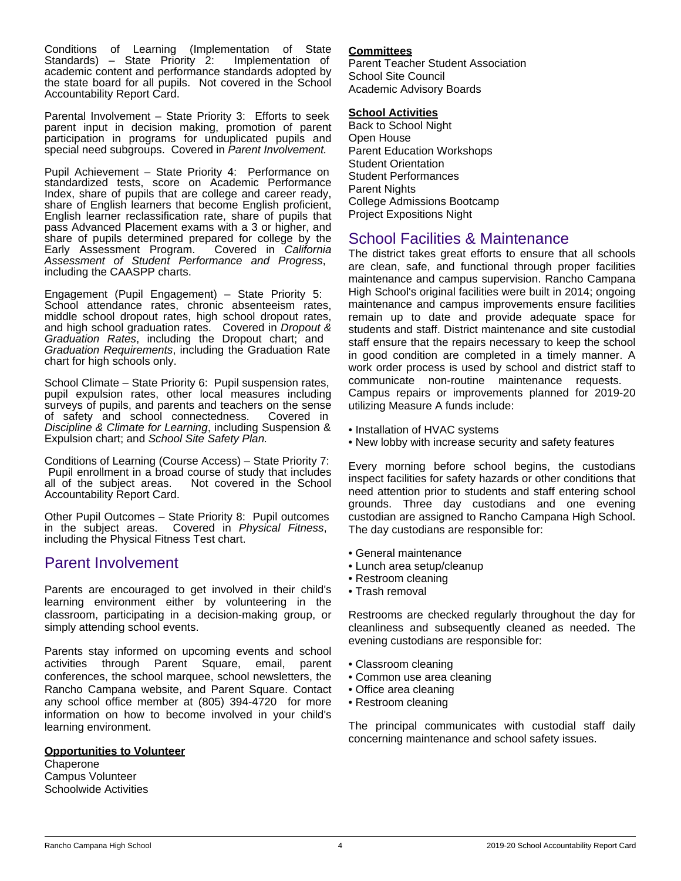Conditions of Learning (Implementation of State Standards) – State Priority 2: academic content and performance standards adopted by the state board for all pupils. Not covered in the School Accountability Report Card.

Parental Involvement – State Priority 3: Efforts to seek parent input in decision making, promotion of parent participation in programs for unduplicated pupils and special need subgroups. Covered in *Parent Involvement.*

Pupil Achievement – State Priority 4: Performance on standardized tests, score on Academic Performance Index, share of pupils that are college and career ready, share of English learners that become English proficient, English learner reclassification rate, share of pupils that pass Advanced Placement exams with a 3 or higher, and share of pupils determined prepared for college by the Early Assessment Program. Covered in California Early Assessment Program. *Assessment of Student Performance and Progress*, including the CAASPP charts.

Engagement (Pupil Engagement) – State Priority 5: School attendance rates, chronic absenteeism rates, middle school dropout rates, high school dropout rates, and high school graduation rates. Covered in *Dropout & Graduation Rates*, including the Dropout chart; and *Graduation Requirements*, including the Graduation Rate chart for high schools only.

School Climate – State Priority 6: Pupil suspension rates, pupil expulsion rates, other local measures including surveys of pupils, and parents and teachers on the sense of safety and school connectedness. Covered in *Discipline & Climate for Learning*, including Suspension & Expulsion chart; and *School Site Safety Plan.*

Conditions of Learning (Course Access) – State Priority 7: Pupil enrollment in a broad course of study that includes<br>all of the subject areas. Not covered in the School Not covered in the School Accountability Report Card.

Other Pupil Outcomes – State Priority 8: Pupil outcomes in the subject areas. Covered in *Physical Fitness*, including the Physical Fitness Test chart.

## Parent Involvement

Parents are encouraged to get involved in their child's learning environment either by volunteering in the classroom, participating in a decision-making group, or simply attending school events.

Parents stay informed on upcoming events and school activities through Parent Square, email, parent conferences, the school marquee, school newsletters, the Rancho Campana website, and Parent Square. Contact any school office member at (805) 394-4720 for more information on how to become involved in your child's learning environment.

### **Opportunities to Volunteer**

**Chaperone** Campus Volunteer Schoolwide Activities

### **Committees**

Parent Teacher Student Association School Site Council Academic Advisory Boards

### **School Activities**

Back to School Night Open House Parent Education Workshops Student Orientation Student Performances Parent Nights College Admissions Bootcamp Project Expositions Night

# School Facilities & Maintenance

The district takes great efforts to ensure that all schools are clean, safe, and functional through proper facilities maintenance and campus supervision. Rancho Campana High School's original facilities were built in 2014; ongoing maintenance and campus improvements ensure facilities remain up to date and provide adequate space for students and staff. District maintenance and site custodial staff ensure that the repairs necessary to keep the school in good condition are completed in a timely manner. A work order process is used by school and district staff to communicate non-routine maintenance requests. Campus repairs or improvements planned for 2019-20 utilizing Measure A funds include:

- Installation of HVAC systems
- New lobby with increase security and safety features

Every morning before school begins, the custodians inspect facilities for safety hazards or other conditions that need attention prior to students and staff entering school grounds. Three day custodians and one evening custodian are assigned to Rancho Campana High School. The day custodians are responsible for:

- General maintenance
- Lunch area setup/cleanup
- Restroom cleaning
- Trash removal

Restrooms are checked regularly throughout the day for cleanliness and subsequently cleaned as needed. The evening custodians are responsible for:

- Classroom cleaning
- Common use area cleaning
- Office area cleaning
- Restroom cleaning

The principal communicates with custodial staff daily concerning maintenance and school safety issues.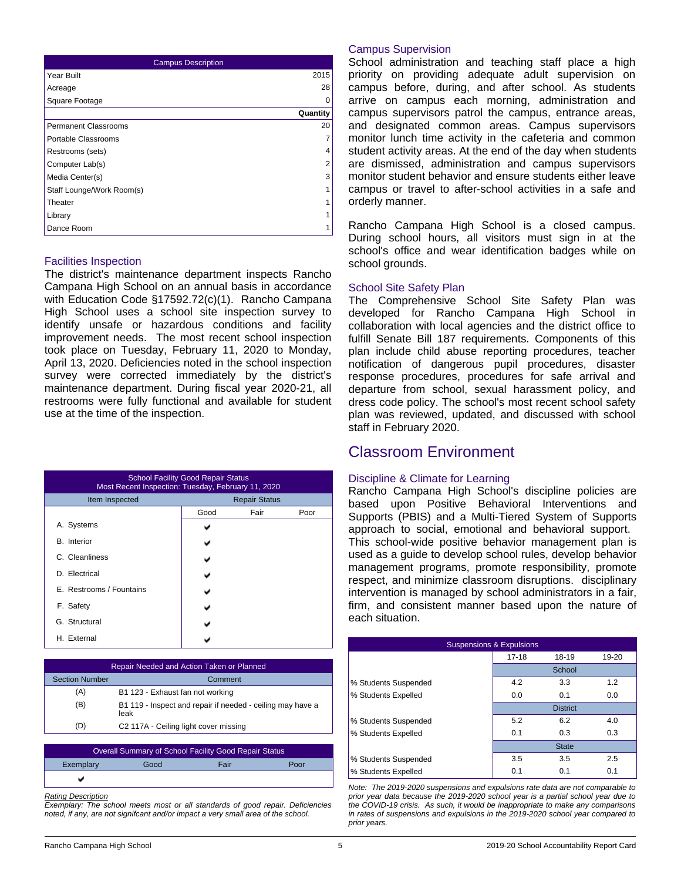| <b>Campus Description</b>   |          |  |  |  |
|-----------------------------|----------|--|--|--|
| Year Built                  | 2015     |  |  |  |
| Acreage                     | 28       |  |  |  |
| Square Footage              | $\Omega$ |  |  |  |
|                             | Quantity |  |  |  |
| <b>Permanent Classrooms</b> | 20       |  |  |  |
| Portable Classrooms         | 7        |  |  |  |
| Restrooms (sets)            | 4        |  |  |  |
| Computer Lab(s)             | 2        |  |  |  |
| Media Center(s)             | 3        |  |  |  |
| Staff Lounge/Work Room(s)   | 1        |  |  |  |
| Theater                     | 1        |  |  |  |
| Library                     | 1        |  |  |  |
| Dance Room                  | 1        |  |  |  |

### Facilities Inspection

The district's maintenance department inspects Rancho Campana High School on an annual basis in accordance with Education Code §17592.72(c)(1). Rancho Campana High School uses a school site inspection survey to identify unsafe or hazardous conditions and facility improvement needs. The most recent school inspection took place on Tuesday, February 11, 2020 to Monday, April 13, 2020. Deficiencies noted in the school inspection survey were corrected immediately by the district's maintenance department. During fiscal year 2020-21, all restrooms were fully functional and available for student use at the time of the inspection.

| <b>School Facility Good Repair Status</b><br>Most Recent Inspection: Tuesday, February 11, 2020 |                      |      |      |  |  |
|-------------------------------------------------------------------------------------------------|----------------------|------|------|--|--|
| Item Inspected                                                                                  | <b>Repair Status</b> |      |      |  |  |
|                                                                                                 | Good                 | Fair | Poor |  |  |
| A. Systems                                                                                      |                      |      |      |  |  |
| <b>B.</b> Interior                                                                              |                      |      |      |  |  |
| C. Cleanliness                                                                                  |                      |      |      |  |  |
| D. Electrical                                                                                   |                      |      |      |  |  |
| E. Restrooms / Fountains                                                                        |                      |      |      |  |  |
| F. Safety                                                                                       |                      |      |      |  |  |
| G. Structural                                                                                   |                      |      |      |  |  |
| H. External                                                                                     |                      |      |      |  |  |

| Repair Needed and Action Taken or Planned |                                                                    |  |  |
|-------------------------------------------|--------------------------------------------------------------------|--|--|
| <b>Section Number</b>                     | Comment                                                            |  |  |
| (A)                                       | B1 123 - Exhaust fan not working                                   |  |  |
| (B)                                       | B1 119 - Inspect and repair if needed - ceiling may have a<br>leak |  |  |
| (D)                                       | C2 117A - Ceiling light cover missing                              |  |  |

| Overall Summary of School Facility Good Repair Status |      |      |      |  |
|-------------------------------------------------------|------|------|------|--|
| Exemplary                                             | Good | Fair | Poor |  |
|                                                       |      |      |      |  |

#### *Rating Description*

*Exemplary: The school meets most or all standards of good repair. Deficiencies noted, if any, are not signifcant and/or impact a very small area of the school.*

### Campus Supervision

School administration and teaching staff place a high priority on providing adequate adult supervision on campus before, during, and after school. As students arrive on campus each morning, administration and campus supervisors patrol the campus, entrance areas, and designated common areas. Campus supervisors monitor lunch time activity in the cafeteria and common student activity areas. At the end of the day when students are dismissed, administration and campus supervisors monitor student behavior and ensure students either leave campus or travel to after-school activities in a safe and orderly manner.

Rancho Campana High School is a closed campus. During school hours, all visitors must sign in at the school's office and wear identification badges while on school grounds.

#### School Site Safety Plan

The Comprehensive School Site Safety Plan was developed for Rancho Campana High School in collaboration with local agencies and the district office to fulfill Senate Bill 187 requirements. Components of this plan include child abuse reporting procedures, teacher notification of dangerous pupil procedures, disaster response procedures, procedures for safe arrival and departure from school, sexual harassment policy, and dress code policy. The school's most recent school safety plan was reviewed, updated, and discussed with school staff in February 2020.

### Classroom Environment

#### Discipline & Climate for Learning

Rancho Campana High School's discipline policies are based upon Positive Behavioral Interventions and Supports (PBIS) and a Multi-Tiered System of Supports approach to social, emotional and behavioral support. This school-wide positive behavior management plan is used as a guide to develop school rules, develop behavior management programs, promote responsibility, promote respect, and minimize classroom disruptions. disciplinary intervention is managed by school administrators in a fair, firm, and consistent manner based upon the nature of each situation.

| <b>Suspensions &amp; Expulsions</b> |                             |                 |     |  |  |
|-------------------------------------|-----------------------------|-----------------|-----|--|--|
|                                     | $17 - 18$<br>18-19<br>19-20 |                 |     |  |  |
|                                     | School                      |                 |     |  |  |
| % Students Suspended                | 4.2                         | 3.3             | 1.2 |  |  |
| % Students Expelled                 | 0.0                         | 0.1             | 0.0 |  |  |
|                                     |                             | <b>District</b> |     |  |  |
| % Students Suspended                | 5.2                         | 6.2             | 4.0 |  |  |
| % Students Expelled                 | 0.1                         | 0.3             | 0.3 |  |  |
|                                     |                             | <b>State</b>    |     |  |  |
| % Students Suspended                | 3.5                         | 3.5             | 2.5 |  |  |
| % Students Expelled                 | 0.1                         | 0.1             | 0.1 |  |  |

*Note: The 2019-2020 suspensions and expulsions rate data are not comparable to prior year data because the 2019-2020 school year is a partial school year due to the COVID-19 crisis. As such, it would be inappropriate to make any comparisons in rates of suspensions and expulsions in the 2019-2020 school year compared to prior years.*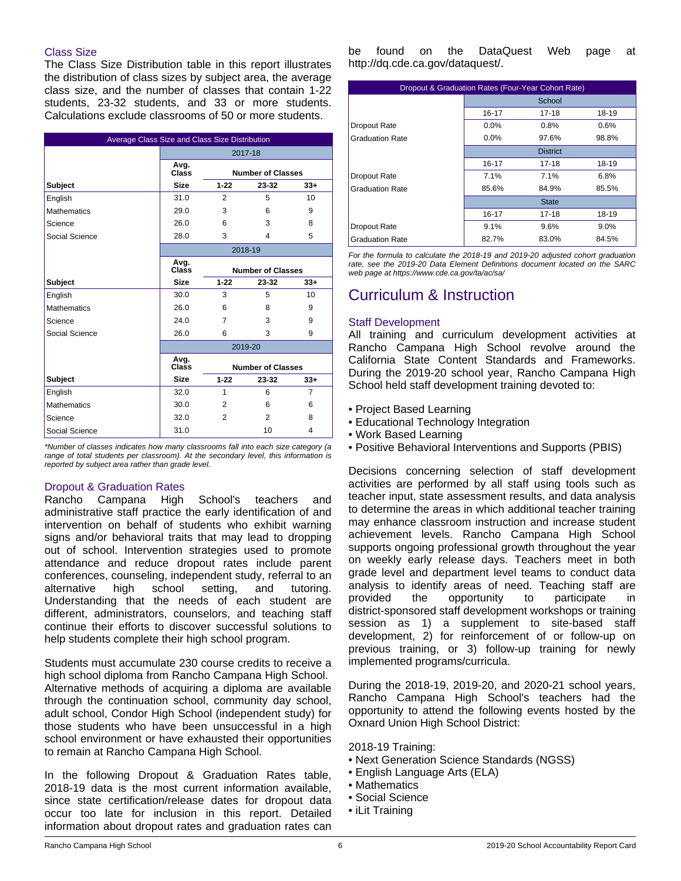### Class Size

The Class Size Distribution table in this report illustrates the distribution of class sizes by subject area, the average class size, and the number of classes that contain 1-22 students, 23-32 students, and 33 or more students. Calculations exclude classrooms of 50 or more students.

| Average Class Size and Class Size Distribution |               |                          |                          |                 |
|------------------------------------------------|---------------|--------------------------|--------------------------|-----------------|
|                                                | 2017-18       |                          |                          |                 |
|                                                | Avg.<br>Class |                          | <b>Number of Classes</b> |                 |
| Subject                                        | <b>Size</b>   | $1 - 22$                 | 23-32                    | $33+$           |
| English                                        | 31.0          | 2                        | 5                        | 10              |
| <b>Mathematics</b>                             | 29.0          | 3                        | 6                        | 9               |
| Science                                        | 26.0          | 6                        | 3                        | 8               |
| Social Science                                 | 28.0          | 3                        | 4                        | 5               |
|                                                | 2018-19       |                          |                          |                 |
|                                                | Avg.<br>Class |                          | <b>Number of Classes</b> |                 |
| <b>Subject</b>                                 | <b>Size</b>   | $1 - 22$                 | 23-32                    | $33+$           |
| English                                        | 30.0          | 3                        | 5                        | 10 <sup>1</sup> |
| <b>Mathematics</b>                             | 26.0          | 6                        | 8                        | 9               |
| Science                                        | 24.0          | 7                        | 3                        | 9               |
| Social Science                                 | 26.0          | 6                        | 3                        | 9               |
|                                                |               |                          | 2019-20                  |                 |
|                                                | Avg.<br>Class | <b>Number of Classes</b> |                          |                 |
| Subject                                        | <b>Size</b>   | $1 - 22$                 | 23-32                    | $33+$           |
| English                                        | 32.0          | 1                        | 6                        | $\overline{7}$  |
| <b>Mathematics</b>                             | 30.0          | 2                        | 6                        | 6               |
| Science                                        | 32.0          | 2                        | 2                        | 8               |
| Social Science                                 | 31.0          |                          | 10                       | 4               |

*\*Number of classes indicates how many classrooms fall into each size category (a range of total students per classroom). At the secondary level, this information is reported by subject area rather than grade level.*

### Dropout & Graduation Rates

Rancho Campana High School's teachers and administrative staff practice the early identification of and intervention on behalf of students who exhibit warning signs and/or behavioral traits that may lead to dropping out of school. Intervention strategies used to promote attendance and reduce dropout rates include parent conferences, counseling, independent study, referral to an alternative high school setting, and tutoring. Understanding that the needs of each student are different, administrators, counselors, and teaching staff continue their efforts to discover successful solutions to help students complete their high school program.

Students must accumulate 230 course credits to receive a high school diploma from Rancho Campana High School. Alternative methods of acquiring a diploma are available through the continuation school, community day school, adult school, Condor High School (independent study) for those students who have been unsuccessful in a high school environment or have exhausted their opportunities to remain at Rancho Campana High School.

In the following Dropout & Graduation Rates table, 2018-19 data is the most current information available, since state certification/release dates for dropout data occur too late for inclusion in this report. Detailed information about dropout rates and graduation rates can be found on the DataQuest Web page at http://dq.cde.ca.gov/dataquest/.

| Dropout & Graduation Rates (Four-Year Cohort Rate) |           |                 |       |  |  |
|----------------------------------------------------|-----------|-----------------|-------|--|--|
|                                                    | School    |                 |       |  |  |
|                                                    | 16-17     | $17 - 18$       | 18-19 |  |  |
| Dropout Rate                                       | 0.0%      | 0.8%            | 0.6%  |  |  |
| <b>Graduation Rate</b>                             | 0.0%      | 97.6%           | 98.8% |  |  |
|                                                    |           | <b>District</b> |       |  |  |
|                                                    | 16-17     | 17-18           | 18-19 |  |  |
| Dropout Rate                                       | 7.1%      | 7.1%            | 6.8%  |  |  |
| <b>Graduation Rate</b>                             | 85.6%     | 84.9%           | 85.5% |  |  |
|                                                    |           | <b>State</b>    |       |  |  |
|                                                    | $16 - 17$ | 17-18           | 18-19 |  |  |
| Dropout Rate                                       | 9.1%      | 9.6%            | 9.0%  |  |  |
| <b>Graduation Rate</b>                             | 82.7%     | 83.0%           | 84.5% |  |  |

*For the formula to calculate the 2018-19 and 2019-20 adjusted cohort graduation rate, see the 2019-20 Data Element Definitions document located on the SARC web page at https://www.cde.ca.gov/ta/ac/sa/*

# Curriculum & Instruction

### Staff Development

All training and curriculum development activities at Rancho Campana High School revolve around the California State Content Standards and Frameworks. During the 2019-20 school year, Rancho Campana High School held staff development training devoted to:

- Project Based Learning
- Educational Technology Integration
- Work Based Learning
- Positive Behavioral Interventions and Supports (PBIS)

Decisions concerning selection of staff development activities are performed by all staff using tools such as teacher input, state assessment results, and data analysis to determine the areas in which additional teacher training may enhance classroom instruction and increase student achievement levels. Rancho Campana High School supports ongoing professional growth throughout the year on weekly early release days. Teachers meet in both grade level and department level teams to conduct data analysis to identify areas of need. Teaching staff are provided the opportunity to participate in district-sponsored staff development workshops or training session as 1) a supplement to site-based staff development, 2) for reinforcement of or follow-up on previous training, or 3) follow-up training for newly implemented programs/curricula.

During the 2018-19, 2019-20, and 2020-21 school years, Rancho Campana High School's teachers had the opportunity to attend the following events hosted by the Oxnard Union High School District:

2018-19 Training:

- Next Generation Science Standards (NGSS)
- English Language Arts (ELA)
- Mathematics
- Social Science
- iLit Training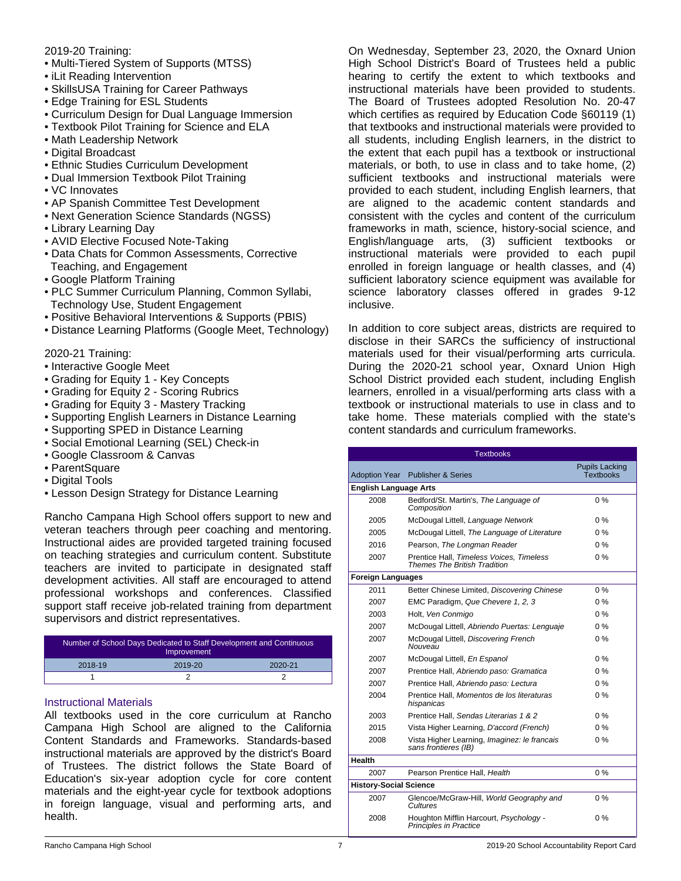### 2019-20 Training:

- Multi-Tiered System of Supports (MTSS)
- iLit Reading Intervention
- SkillsUSA Training for Career Pathways
- Edge Training for ESL Students
- Curriculum Design for Dual Language Immersion
- Textbook Pilot Training for Science and ELA
- Math Leadership Network
- Digital Broadcast
- Ethnic Studies Curriculum Development
- Dual Immersion Textbook Pilot Training
- VC Innovates
- AP Spanish Committee Test Development
- Next Generation Science Standards (NGSS)
- Library Learning Day
- AVID Elective Focused Note-Taking
- Data Chats for Common Assessments, Corrective Teaching, and Engagement
- Google Platform Training
- PLC Summer Curriculum Planning, Common Syllabi, Technology Use, Student Engagement
- Positive Behavioral Interventions & Supports (PBIS)
- Distance Learning Platforms (Google Meet, Technology)

2020-21 Training:

- Interactive Google Meet
- Grading for Equity 1 Key Concepts
- Grading for Equity 2 Scoring Rubrics
- Grading for Equity 3 Mastery Tracking
- Supporting English Learners in Distance Learning
- Supporting SPED in Distance Learning
- Social Emotional Learning (SEL) Check-in
- Google Classroom & Canvas
- ParentSquare
- Digital Tools
- Lesson Design Strategy for Distance Learning

Rancho Campana High School offers support to new and veteran teachers through peer coaching and mentoring. Instructional aides are provided targeted training focused on teaching strategies and curriculum content. Substitute teachers are invited to participate in designated staff development activities. All staff are encouraged to attend professional workshops and conferences. Classified support staff receive job-related training from department supervisors and district representatives.

| Number of School Days Dedicated to Staff Development and Continuous<br>Improvement |         |         |  |
|------------------------------------------------------------------------------------|---------|---------|--|
| 2018-19                                                                            | 2019-20 | 2020-21 |  |
|                                                                                    |         |         |  |

### Instructional Materials

All textbooks used in the core curriculum at Rancho Campana High School are aligned to the California Content Standards and Frameworks. Standards-based instructional materials are approved by the district's Board of Trustees. The district follows the State Board of Education's six-year adoption cycle for core content materials and the eight-year cycle for textbook adoptions in foreign language, visual and performing arts, and health.

On Wednesday, September 23, 2020, the Oxnard Union High School District's Board of Trustees held a public hearing to certify the extent to which textbooks and instructional materials have been provided to students. The Board of Trustees adopted Resolution No. 20-47 which certifies as required by Education Code §60119 (1) that textbooks and instructional materials were provided to all students, including English learners, in the district to the extent that each pupil has a textbook or instructional materials, or both, to use in class and to take home, (2) sufficient textbooks and instructional materials were provided to each student, including English learners, that are aligned to the academic content standards and consistent with the cycles and content of the curriculum frameworks in math, science, history-social science, and English/language arts, (3) sufficient textbooks or instructional materials were provided to each pupil enrolled in foreign language or health classes, and (4) sufficient laboratory science equipment was available for science laboratory classes offered in grades 9-12 inclusive.

In addition to core subject areas, districts are required to disclose in their SARCs the sufficiency of instructional materials used for their visual/performing arts curricula. During the 2020-21 school year, Oxnard Union High School District provided each student, including English learners, enrolled in a visual/performing arts class with a textbook or instructional materials to use in class and to take home. These materials complied with the state's content standards and curriculum frameworks.

| <b>Textbooks</b>              |                                                                                 |                                           |  |  |  |
|-------------------------------|---------------------------------------------------------------------------------|-------------------------------------------|--|--|--|
| <b>Adoption Year</b>          | <b>Publisher &amp; Series</b>                                                   | <b>Pupils Lacking</b><br><b>Textbooks</b> |  |  |  |
| <b>English Language Arts</b>  |                                                                                 |                                           |  |  |  |
| 2008                          | Bedford/St. Martin's, The Language of<br>Composition                            | $0\%$                                     |  |  |  |
| 2005                          | McDougal Littell, Language Network                                              | $0\%$                                     |  |  |  |
| 2005                          | McDougal Littell, The Language of Literature                                    | 0%                                        |  |  |  |
| 2016                          | Pearson, The Longman Reader                                                     | 0%                                        |  |  |  |
| 2007                          | Prentice Hall, Timeless Voices, Timeless<br><b>Themes The British Tradition</b> | $0\%$                                     |  |  |  |
| <b>Foreign Languages</b>      |                                                                                 |                                           |  |  |  |
| 2011                          | Better Chinese Limited, Discovering Chinese                                     | $0\%$                                     |  |  |  |
| 2007                          | EMC Paradigm, Que Chevere 1, 2, 3                                               | $0\%$                                     |  |  |  |
| 2003                          | Holt, Ven Conmigo                                                               | $0\%$                                     |  |  |  |
| 2007                          | McDougal Littell, Abriendo Puertas: Lenguaje                                    | $0\%$                                     |  |  |  |
| 2007                          | McDougal Littell, Discovering French<br>Nouveau                                 | $0\%$                                     |  |  |  |
| 2007                          | McDougal Littell, En Espanol                                                    | $0\%$                                     |  |  |  |
| 2007                          | Prentice Hall, Abriendo paso: Gramatica                                         | $0\%$                                     |  |  |  |
| 2007                          | Prentice Hall, Abriendo paso: Lectura                                           | $0\%$                                     |  |  |  |
| 2004                          | Prentice Hall, Momentos de los literaturas<br>hispanicas                        | $0\%$                                     |  |  |  |
| 2003                          | Prentice Hall. Sendas Literarias 1 & 2                                          | $0\%$                                     |  |  |  |
| 2015                          | Vista Higher Learning, D'accord (French)                                        | $0\%$                                     |  |  |  |
| 2008                          | Vista Higher Learning, Imaginez: le francais<br>sans frontieres (IB)            | 0%                                        |  |  |  |
| Health                        |                                                                                 |                                           |  |  |  |
| 2007                          | Pearson Prentice Hall, Health                                                   | $0\%$                                     |  |  |  |
| <b>History-Social Science</b> |                                                                                 |                                           |  |  |  |
| 2007                          | Glencoe/McGraw-Hill, World Geography and<br>Cultures                            | $0\%$                                     |  |  |  |
| 2008                          | Houghton Mifflin Harcourt, Psychology -<br><b>Principles in Practice</b>        | 0%                                        |  |  |  |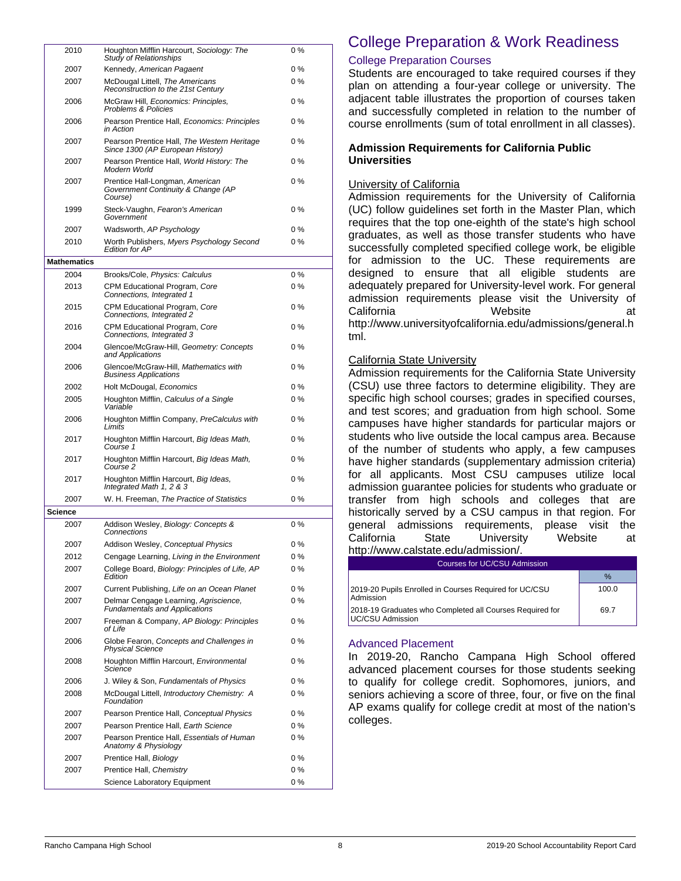| 2010               | Houghton Mifflin Harcourt, Sociology: The<br><b>Study of Relationships</b>                    | 0%          |
|--------------------|-----------------------------------------------------------------------------------------------|-------------|
| 2007               | Kennedy, American Pagaent                                                                     | 0%          |
| 2007               | McDougal Littell, The Americans<br>Reconstruction to the 21st Century                         | 0%          |
| 2006               | McGraw Hill, Economics: Principles,<br><b>Problems &amp; Policies</b>                         | $0\%$       |
| 2006               | Pearson Prentice Hall, Economics: Principles<br>in Action                                     | 0%          |
| 2007               | Pearson Prentice Hall, The Western Heritage<br>Since 1300 (AP European History)               | $0\%$       |
| 2007               | Pearson Prentice Hall, World History: The<br>Modern World                                     | $0\%$       |
| 2007               | Prentice Hall-Longman, American<br>Government Continuity & Change (AP<br>Course)              | $0\%$       |
| 1999               | Steck-Vaughn, Fearon's American<br>Government                                                 | 0%          |
| 2007               | Wadsworth, AP Psychology                                                                      | 0%          |
| 2010               | Worth Publishers, Myers Psychology Second<br><b>Edition for AP</b>                            | $0\%$       |
| <b>Mathematics</b> |                                                                                               |             |
| 2004               | Brooks/Cole, Physics: Calculus                                                                | $0\%$       |
| 2013               | CPM Educational Program, Core<br>Connections, Integrated 1                                    | $0\%$       |
| 2015               | CPM Educational Program, Core<br>Connections, Integrated 2                                    | 0%          |
| 2016               | CPM Educational Program, Core<br>Connections, Integrated 3                                    | $0\%$       |
| 2004               | Glencoe/McGraw-Hill, Geometry: Concepts<br>and Applications                                   | $0\%$       |
| 2006               | Glencoe/McGraw-Hill, Mathematics with<br><b>Business Applications</b>                         | 0%          |
| 2002               | Holt McDougal, Economics                                                                      | 0%          |
| 2005               | Houghton Mifflin, Calculus of a Single<br>Variable                                            | 0%          |
| 2006               | Houghton Mifflin Company, PreCalculus with<br>Limits                                          | 0 %         |
| 2017               | Houghton Mifflin Harcourt, Big Ideas Math,<br>Course 1                                        | 0%          |
| 2017               | Houghton Mifflin Harcourt, Big Ideas Math,<br>Course 2                                        | 0%          |
| 2017               | Houghton Mifflin Harcourt, Big Ideas,<br>Integrated Math 1, 2 & 3                             | $0\%$       |
| 2007               | W. H. Freeman, The Practice of Statistics                                                     | $0\%$       |
| <b>Science</b>     |                                                                                               |             |
| 2007               | Addison Wesley, Biology: Concepts &<br>Connections                                            | $0\%$       |
| 2007               | Addison Wesley, Conceptual Physics                                                            | 0 %         |
| 2012               | Cengage Learning, Living in the Environment<br>College Board, Biology: Principles of Life, AP | 0%          |
| 2007               | Edition                                                                                       | 0%          |
| 2007               | Current Publishing, Life on an Ocean Planet                                                   | 0 %         |
| 2007               | Delmar Cengage Learning, Agriscience,<br><b>Fundamentals and Applications</b>                 | $0\%$       |
| 2007               | Freeman & Company, AP Biology: Principles<br>of Life                                          | 0 %         |
| 2006               | Globe Fearon, Concepts and Challenges in<br><b>Physical Science</b>                           | 0 %         |
| 2008               | Houghton Mifflin Harcourt, Environmental<br>Science                                           | 0 %         |
| 2006               | J. Wiley & Son, Fundamentals of Physics                                                       | 0%          |
| 2008               | McDougal Littell, Introductory Chemistry: A<br>Foundation                                     | 0%          |
| 2007               | Pearson Prentice Hall, Conceptual Physics                                                     | 0%          |
| 2007               | Pearson Prentice Hall, Earth Science                                                          | $0\%$       |
| 2007               | Pearson Prentice Hall, Essentials of Human<br>Anatomy & Physiology                            | 0%          |
| 2007               | Prentice Hall, Biology                                                                        | $0\%$       |
| 2007               | Prentice Hall, Chemistry<br>Science Laboratory Equipment                                      | $0\%$<br>0% |
|                    |                                                                                               |             |

# College Preparation & Work Readiness

### College Preparation Courses

Students are encouraged to take required courses if they plan on attending a four-year college or university. The adjacent table illustrates the proportion of courses taken and successfully completed in relation to the number of course enrollments (sum of total enrollment in all classes).

### **Admission Requirements for California Public Universities**

### University of California

Admission requirements for the University of California (UC) follow guidelines set forth in the Master Plan, which requires that the top one-eighth of the state's high school graduates, as well as those transfer students who have successfully completed specified college work, be eligible for admission to the UC. These requirements are designed to ensure that all eligible students are adequately prepared for University-level work. For general admission requirements please visit the University of California Website at http://www.universityofcalifornia.edu/admissions/general.h tml.

### California State University

Admission requirements for the California State University (CSU) use three factors to determine eligibility. They are specific high school courses; grades in specified courses, and test scores; and graduation from high school. Some campuses have higher standards for particular majors or students who live outside the local campus area. Because of the number of students who apply, a few campuses have higher standards (supplementary admission criteria) for all applicants. Most CSU campuses utilize local admission guarantee policies for students who graduate or transfer from high schools and colleges that are historically served by a CSU campus in that region. For general admissions requirements, please visit the California State University Website at http://www.calstate.edu/admission/

| <b>Courses for UC/CSU Admission</b>                                                  |       |  |  |
|--------------------------------------------------------------------------------------|-------|--|--|
|                                                                                      | $\%$  |  |  |
| 2019-20 Pupils Enrolled in Courses Required for UC/CSU<br><b>Admission</b>           | 100.0 |  |  |
| 2018-19 Graduates who Completed all Courses Required for<br><b>IUC/CSU Admission</b> | 69.7  |  |  |

### Advanced Placement

In 2019-20, Rancho Campana High School offered advanced placement courses for those students seeking to qualify for college credit. Sophomores, juniors, and seniors achieving a score of three, four, or five on the final AP exams qualify for college credit at most of the nation's colleges.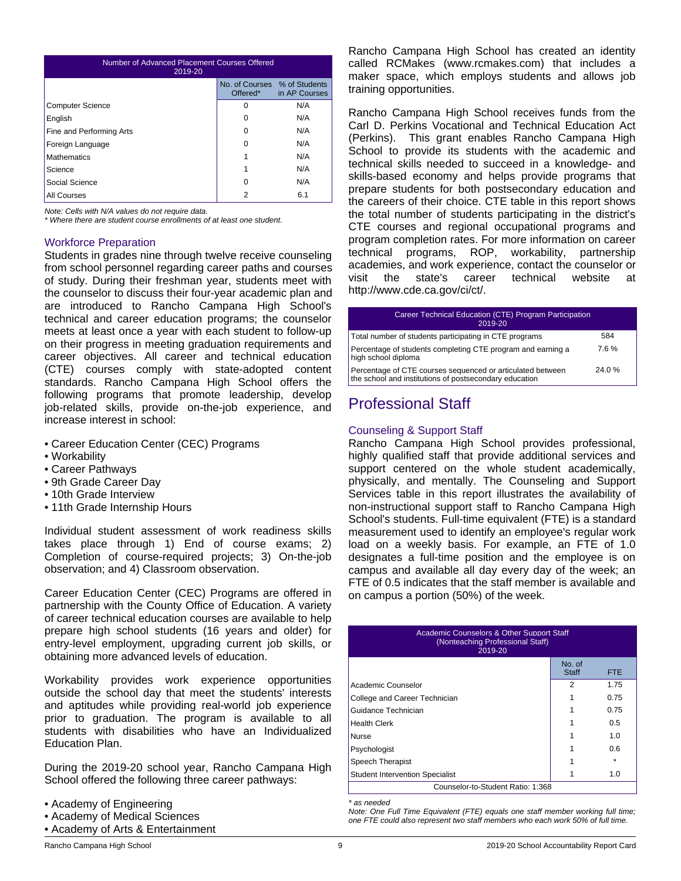| Number of Advanced Placement Courses Offered<br>2019-20 |                                                      |               |  |
|---------------------------------------------------------|------------------------------------------------------|---------------|--|
|                                                         | No. of Courses % of Students<br>Offered <sup>*</sup> | in AP Courses |  |
| <b>Computer Science</b>                                 | 0                                                    | N/A           |  |
| English                                                 | 0                                                    | N/A           |  |
| Fine and Performing Arts                                | O                                                    | N/A           |  |
| Foreign Language                                        | 0                                                    | N/A           |  |
| <b>Mathematics</b>                                      | 1                                                    | N/A           |  |
| Science                                                 | 1                                                    | N/A           |  |
| Social Science                                          | 0                                                    | N/A           |  |
| All Courses                                             | 2                                                    | 6.1           |  |

*Note: Cells with N/A values do not require data.*

*\* Where there are student course enrollments of at least one student.*

#### Workforce Preparation

Students in grades nine through twelve receive counseling from school personnel regarding career paths and courses of study. During their freshman year, students meet with the counselor to discuss their four-year academic plan and are introduced to Rancho Campana High School's technical and career education programs; the counselor meets at least once a year with each student to follow-up on their progress in meeting graduation requirements and career objectives. All career and technical education (CTE) courses comply with state-adopted content standards. Rancho Campana High School offers the following programs that promote leadership, develop job-related skills, provide on-the-job experience, and increase interest in school:

- Career Education Center (CEC) Programs
- Workability
- Career Pathways
- 9th Grade Career Day
- 10th Grade Interview
- 11th Grade Internship Hours

Individual student assessment of work readiness skills takes place through 1) End of course exams; 2) Completion of course-required projects; 3) On-the-job observation; and 4) Classroom observation.

Career Education Center (CEC) Programs are offered in partnership with the County Office of Education. A variety of career technical education courses are available to help prepare high school students (16 years and older) for entry-level employment, upgrading current job skills, or obtaining more advanced levels of education.

Workability provides work experience opportunities outside the school day that meet the students' interests and aptitudes while providing real-world job experience prior to graduation. The program is available to all students with disabilities who have an Individualized Education Plan.

During the 2019-20 school year, Rancho Campana High School offered the following three career pathways:

- Academy of Engineering
- Academy of Medical Sciences
- Academy of Arts & Entertainment

Rancho Campana High School has created an identity called RCMakes (www.rcmakes.com) that includes a maker space, which employs students and allows job training opportunities.

Rancho Campana High School receives funds from the Carl D. Perkins Vocational and Technical Education Act (Perkins). This grant enables Rancho Campana High School to provide its students with the academic and technical skills needed to succeed in a knowledge- and skills-based economy and helps provide programs that prepare students for both postsecondary education and the careers of their choice. CTE table in this report shows the total number of students participating in the district's CTE courses and regional occupational programs and program completion rates. For more information on career technical programs, ROP, workability, partnership academies, and work experience, contact the counselor or visit the state's career technical website at http://www.cde.ca.gov/ci/ct/.

| Career Technical Education (CTE) Program Participation<br>2019-20                                                    |       |  |
|----------------------------------------------------------------------------------------------------------------------|-------|--|
| Total number of students participating in CTE programs                                                               | 584   |  |
| Percentage of students completing CTE program and earning a<br>high school diploma                                   | 7.6%  |  |
| Percentage of CTE courses sequenced or articulated between<br>the school and institutions of postsecondary education | 24.0% |  |

# Professional Staff

### Counseling & Support Staff

Rancho Campana High School provides professional, highly qualified staff that provide additional services and support centered on the whole student academically, physically, and mentally. The Counseling and Support Services table in this report illustrates the availability of non-instructional support staff to Rancho Campana High School's students. Full-time equivalent (FTE) is a standard measurement used to identify an employee's regular work load on a weekly basis. For example, an FTE of 1.0 designates a full-time position and the employee is on campus and available all day every day of the week; an FTE of 0.5 indicates that the staff member is available and on campus a portion (50%) of the week.

| Academic Counselors & Other Support Staff<br>(Nonteaching Professional Staff)<br>2019-20 |                        |               |  |
|------------------------------------------------------------------------------------------|------------------------|---------------|--|
|                                                                                          | No. of<br><b>Staff</b> | <b>FTE</b>    |  |
| Academic Counselor                                                                       | 2                      | 1.75          |  |
| College and Career Technician                                                            |                        | 0.75          |  |
| Guidance Technician                                                                      |                        | 0.75          |  |
| <b>Health Clerk</b>                                                                      |                        | $0.5^{\circ}$ |  |
| <b>Nurse</b>                                                                             |                        | 1.0           |  |
| Psychologist                                                                             |                        | 0.6           |  |
| Speech Therapist                                                                         |                        | $\star$       |  |
| <b>Student Intervention Specialist</b>                                                   |                        | 1.0           |  |
| Counselor-to-Student Ratio: 1:368                                                        |                        |               |  |

*\* as needed*

*Note: One Full Time Equivalent (FTE) equals one staff member working full time; one FTE could also represent two staff members who each work 50% of full time.*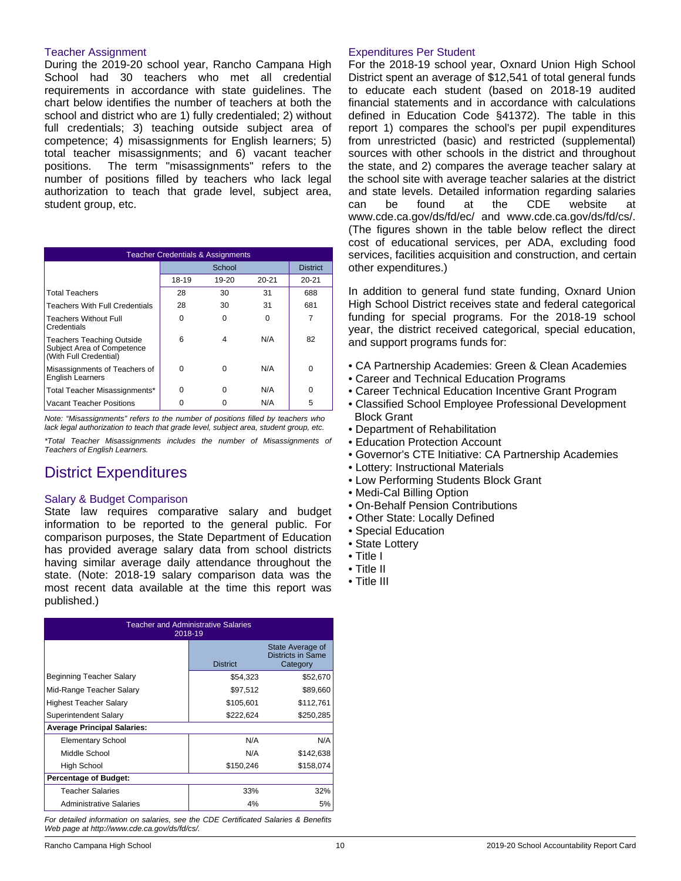#### Teacher Assignment

During the 2019-20 school year, Rancho Campana High School had 30 teachers who met all credential requirements in accordance with state guidelines. The chart below identifies the number of teachers at both the school and district who are 1) fully credentialed; 2) without full credentials; 3) teaching outside subject area of competence; 4) misassignments for English learners; 5) total teacher misassignments; and 6) vacant teacher positions. The term "misassignments" refers to the number of positions filled by teachers who lack legal authorization to teach that grade level, subject area, student group, etc.

| <b>Teacher Credentials &amp; Assignments</b>                                             |          |          |           |                 |
|------------------------------------------------------------------------------------------|----------|----------|-----------|-----------------|
|                                                                                          | School   |          |           | <b>District</b> |
|                                                                                          | 18-19    | 19-20    | $20 - 21$ | $20 - 21$       |
| <b>Total Teachers</b>                                                                    | 28       | 30       | 31        | 688             |
| <b>Teachers With Full Credentials</b>                                                    | 28       | 30       | 31        | 681             |
| <b>Teachers Without Full</b><br>Credentials                                              | O        | $\Omega$ | U         |                 |
| <b>Teachers Teaching Outside</b><br>Subject Area of Competence<br>(With Full Credential) | 6        | 4        | N/A       | 82              |
| Misassignments of Teachers of<br><b>English Learners</b>                                 | $\Omega$ | ŋ        | N/A       | $\Omega$        |
| Total Teacher Misassignments*                                                            | n        | ŋ        | N/A       | $\Omega$        |
| Vacant Teacher Positions                                                                 |          |          | N/A       | 5               |

*Note: "Misassignments" refers to the number of positions filled by teachers who lack legal authorization to teach that grade level, subject area, student group, etc.*

*\*Total Teacher Misassignments includes the number of Misassignments of Teachers of English Learners.*

# District Expenditures

### Salary & Budget Comparison

State law requires comparative salary and budget information to be reported to the general public. For comparison purposes, the State Department of Education has provided average salary data from school districts having similar average daily attendance throughout the state. (Note: 2018-19 salary comparison data was the most recent data available at the time this report was published.)

| <b>Teacher and Administrative Salaries</b><br>2018-19 |                 |                                                   |  |  |  |
|-------------------------------------------------------|-----------------|---------------------------------------------------|--|--|--|
|                                                       | <b>District</b> | State Average of<br>Districts in Same<br>Category |  |  |  |
| Beginning Teacher Salary                              | \$54,323        | \$52,670                                          |  |  |  |
| Mid-Range Teacher Salary                              | \$97,512        | \$89,660                                          |  |  |  |
| Highest Teacher Salary                                | \$105,601       | \$112,761                                         |  |  |  |
| Superintendent Salary                                 | \$222,624       | \$250,285                                         |  |  |  |
| <b>Average Principal Salaries:</b>                    |                 |                                                   |  |  |  |
| <b>Elementary School</b>                              | N/A             | N/A                                               |  |  |  |
| Middle School                                         | N/A             | \$142,638                                         |  |  |  |
| <b>High School</b>                                    | \$150,246       | \$158,074                                         |  |  |  |
| <b>Percentage of Budget:</b>                          |                 |                                                   |  |  |  |
| <b>Teacher Salaries</b>                               | 33%             | 32%                                               |  |  |  |
| <b>Administrative Salaries</b>                        | 4%              | 5%                                                |  |  |  |

*For detailed information on salaries, see the CDE Certificated Salaries & Benefits Web page at http://www.cde.ca.gov/ds/fd/cs/.*

### Expenditures Per Student

For the 2018-19 school year, Oxnard Union High School District spent an average of \$12,541 of total general funds to educate each student (based on 2018-19 audited financial statements and in accordance with calculations defined in Education Code §41372). The table in this report 1) compares the school's per pupil expenditures from unrestricted (basic) and restricted (supplemental) sources with other schools in the district and throughout the state, and 2) compares the average teacher salary at the school site with average teacher salaries at the district and state levels. Detailed information regarding salaries can be found at the CDE website at www.cde.ca.gov/ds/fd/ec/ and www.cde.ca.gov/ds/fd/cs/. (The figures shown in the table below reflect the direct cost of educational services, per ADA, excluding food services, facilities acquisition and construction, and certain other expenditures.)

In addition to general fund state funding, Oxnard Union High School District receives state and federal categorical funding for special programs. For the 2018-19 school year, the district received categorical, special education, and support programs funds for:

- CA Partnership Academies: Green & Clean Academies
- Career and Technical Education Programs
- Career Technical Education Incentive Grant Program
- Classified School Employee Professional Development Block Grant
- Department of Rehabilitation
- Education Protection Account
- Governor's CTE Initiative: CA Partnership Academies
- Lottery: Instructional Materials
- Low Performing Students Block Grant
- Medi-Cal Billing Option
- On-Behalf Pension Contributions
- Other State: Locally Defined
- Special Education
- State Lottery
- Title I
- Title II
- Title III